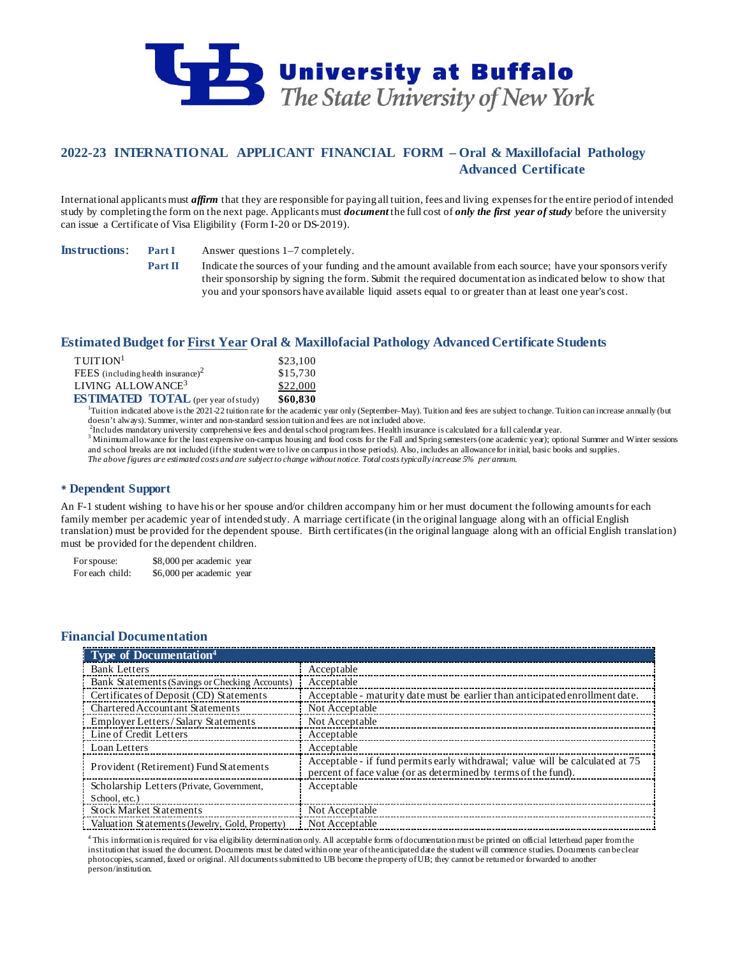

# **2022-23 INTERNATIONAL APPLICANT FINANCIAL FORM – Oral & Maxillofacial Pathology Advanced Certificate**

International applicants must *affirm* that they are responsible for paying all tuition, fees and living expenses for the entire period of intended study by completing the form on the next page. Applicants must *document* the full cost of *only the first year of study* before the university can issue a Certificate of Visa Eligibility (Form I-20 or DS-2019).

**Instructions**: **Part I** Answer questions 1–7 completely.

**Part II** Indicate the sources of your funding and the amount available from each source; have your sponsors verify their sponsorship by signing the form. Submit the required documentation as indicated below to show that you and your sponsors have available liquid assets equal to or greater than at least one year's cost.

## **Estimated Budget for First Year Oral & Maxillofacial Pathology Advanced Certificate Students**

| $T$ UITION <sup>1</sup>                    | \$23,100 |
|--------------------------------------------|----------|
| FEES (including health insurance) $2$      | \$15,730 |
| LIVING ALLOWANCE <sup>3</sup>              | \$22,000 |
| <b>ESTIMATED TOTAL</b> (per year of study) | \$60.830 |

**ESTIMATED TOTAL** (per year of study) \$60,830<br><sup>1</sup>Tuition indicated above is the 2021-22 tuition rate for the academic year only (September–May). Tuition and fees are subject to change. Tuition can increase annually (but doesn't always). Summer, winter and non-standard session tuition and fees are not included above.<br><sup>2</sup>Includes mandatory university comprehensive fees and dental school program fees. Health insurance is calculated for a ful

3 Minimum allowance for the least expensive on-campus housing and food costs for the Fall and Spring semesters (one academic year); optional Summer and Winter sessions and school breaks are not included (if the student were to live on campus in those periods). Also, includes an allowance for initial, basic books and supplies. *The above figures are estimated costs and are subject to change without notice. Total costs typically increase 5% per annum.*

## **Dependent Support**

An F-1 student wishing to have his or her spouse and/or children accompany him or her must document the following amounts for each family member per academic year of intended study. A marriage certificate (in the original language along with an official English translation) must be provided for the dependent spouse. Birth certificates (in the original language along with an official English translation) must be provided for the dependent children.

For spouse: \$8,000 per academic year For each child: \$6,000 per academic year

## **Financial Documentation**

| Type of Documentation <sup>4</sup>             |                                                                                                                                                 |
|------------------------------------------------|-------------------------------------------------------------------------------------------------------------------------------------------------|
| <b>Bank Letters</b>                            | Acceptable                                                                                                                                      |
| Bank Statements (Savings or Checking Accounts) | Acceptable                                                                                                                                      |
| Certificates of Deposit (CD) Statements        | Acceptable - maturity date must be earlier than anticipated enrollment date.                                                                    |
| <b>Chartered Accountant Statements</b>         | Not Acceptable                                                                                                                                  |
| Employer Letters/Salary Statements             | Not Acceptable                                                                                                                                  |
| Line of Credit Letters                         | Acceptable                                                                                                                                      |
| Loan Letters                                   | Acceptable                                                                                                                                      |
| Provident (Retirement) Fund Statements         | Acceptable - if fund permits early withdrawal; value will be calculated at 75<br>percent of face value (or as determined by terms of the fund). |
| Scholarship Letters (Private, Government,      | Acceptable                                                                                                                                      |
| School, etc.)                                  |                                                                                                                                                 |
| <b>Stock Market Statements</b>                 | Not Acceptable                                                                                                                                  |
| Valuation Statements (Jewelry, Gold, Property) | Not Acceptable                                                                                                                                  |

<sup>4</sup> This information is required for visa eligibility determination only. All acceptable forms of documentation must be printed on official letterhead paper from the institution that issued the document. Documents must be dated within one year of the anticipated date the student will commence studies. Documents can be clear photocopies, scanned, faxed or original. All documents submitted to UB become the property of UB; they cannot be returned or forwarded to another person/institution.